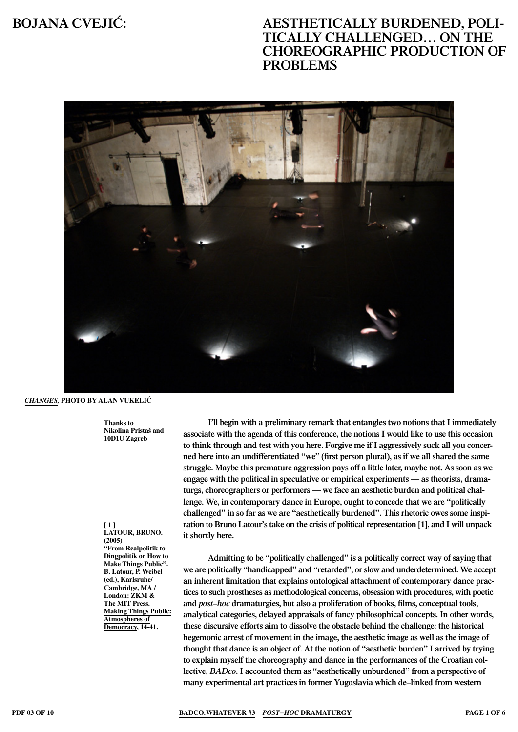

### *Changes,* **Photo By Alan Vukeli∆**

**Thanks to Nikolina Pristaš and 10D1U Zagreb**

**[ 1 ] Latour, Bruno. (2005) "From Realpolitik to Dingpolitik or How to Make Things Public". B. Latour, P. Weibel (ed.), Karlsruhe/ Cambridge, MA / London: ZKM & The MIT Press. Making Things Public: Atmospheres of Democracy, 14-41.**

**I'll begin with a preliminary remark that entangles two notions that I immediately associate with the agenda of this conference, the notions I would like to use this occasion to think through and test with you here. Forgive me if I aggressively suck all you concerned here into an undifferentiated "we" (first person plural), as if we all shared the same struggle. Maybe this premature aggression pays off a little later, maybe not. As soon as we engage with the political in speculative or empirical experiments — as theorists, dramaturgs, choreographers or performers — we face an aesthetic burden and political challenge. We, in contemporary dance in Europe, ought to concede that we are "politically challenged" in so far as we are "aesthetically burdened". This rhetoric owes some inspiration to Bruno Latour's take on the crisis of political representation [1], and I will unpack it shortly here.** 

**Admitting to be "politically challenged" is a politically correct way of saying that we are politically "handicapped" and "retarded", or slow and underdetermined. We accept an inherent limitation that explains ontological attachment of contemporary dance practices to such prostheses as methodological concerns, obsession with procedures, with poetic and** *post∑hoc* **dramaturgies, but also a proliferation of books, films, conceptual tools, analytical categories, delayed appraisals of fancy philosophical concepts. In other words, these discursive efforts aim to dissolve the obstacle behind the challenge: the historical hegemonic arrest of movement in the image, the aesthetic image as well as the image of thought that dance is an object of. At the notion of "aesthetic burden" I arrived by trying to explain myself the choreography and dance in the performances of the Croatian collective,** *BADco***. I accounted them as "aesthetically unburdened" from a perspective of many experimental art practices in former Yugoslavia which de∑linked from western**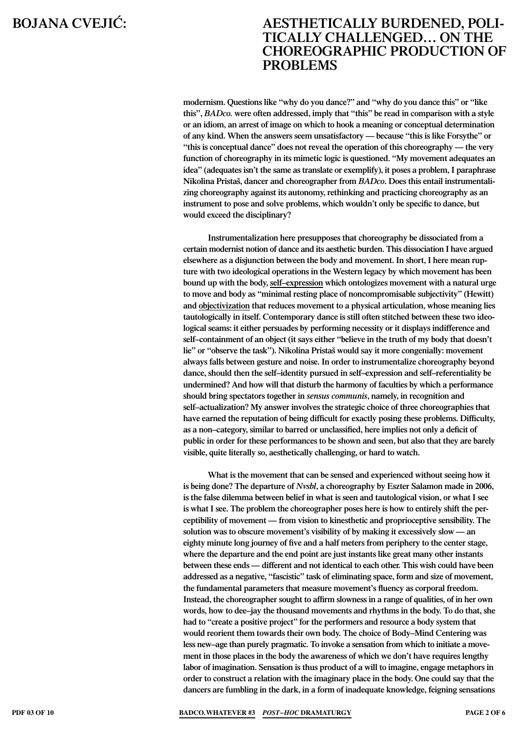**modernism. Questions like "why do you dance?" and "why do you dance this" or "like this",** *BADco.* **were often addressed, imply that "this" be read in comparison with a style or an idiom, an arrest of image on which to hook a meaning or conceptual determination of any kind. When the answers seem unsatisfactory — because "this is like Forsythe" or "this is conceptual dance" does not reveal the operation of this choreography — the very function of choreography in its mimetic logic is questioned. "My movement adequates an idea" (adequates isn't the same as translate or exemplify), it poses a problem, I paraphrase Nikolina Pristaš, dancer and choreographer from** *BADco***. Does this entail instrumentalizing choreography against its autonomy, rethinking and practicing choreography as an instrument to pose and solve problems, which wouldn't only be specific to dance, but would exceed the disciplinary?** 

**Instrumentalization here presupposes that choreography be dissociated from a certain modernist notion of dance and its aesthetic burden. This dissociation I have argued elsewhere as a disjunction between the body and movement. In short, I here mean rupture with two ideological operations in the Western legacy by which movement has been bound up with the body, self–expression which ontologizes movement with a natural urge to move and body as "minimal resting place of noncompromisable subjectivity" (Hewitt) and objectivization that reduces movement to a physical articulation, whose meaning lies tautologically in itself. Contemporary dance is still often stitched between these two ideological seams: it either persuades by performing necessity or it displays indifference and**  self–containment of an object (it says either "believe in the truth of my body that doesn't **lie" or "observe the task"). Nikolina Pristaš would say it more congenially: movement always falls between gesture and noise. In order to instrumentalize choreography beyond**  dance, should then the self-identity pursued in self-expression and self-referentiality be **undermined? And how will that disturb the harmony of faculties by which a performance should bring spectators together in** *sensus communis***, namely, in recognition and self–actualization?** My answer involves the strategic choice of three choreographies that **have earned the reputation of being difficult for exactly posing these problems. Difficulty,**  as a non-category, similar to barred or unclassified, here implies not only a deficit of **public in order for these performances to be shown and seen, but also that they are barely visible, quite literally so, aesthetically challenging, or hard to watch.** 

**What is the movement that can be sensed and experienced without seeing how it is being done? The departure of** *Nvsbl***, a choreography by Eszter Salamon made in 2006, is the false dilemma between belief in what is seen and tautological vision, or what I see is what I see. The problem the choreographer poses here is how to entirely shift the perceptibility of movement — from vision to kinesthetic and proprioceptive sensibility. The solution was to obscure movement's visibility of by making it excessively slow — an eighty minute long journey of five and a half meters from periphery to the center stage, where the departure and the end point are just instants like great many other instants between these ends — different and not identical to each other. This wish could have been addressed as a negative, "fascistic" task of eliminating space, form and size of movement, the fundamental parameters that measure movement's fluency as corporal freedom. Instead, the choreographer sought to affirm slowness in a range of qualities, of in her own words, how to dee∑jay the thousand movements and rhythms in the body. To do that, she had to "create a positive project" for the performers and resource a body system that**  would reorient them towards their own body. The choice of Body–Mind Centering was less new–age than purely pragmatic. To invoke a sensation from which to initiate a move**ment in those places in the body the awareness of which we don't have requires lengthy labor of imagination. Sensation is thus product of a will to imagine, engage metaphors in order to construct a relation with the imaginary place in the body. One could say that the dancers are fumbling in the dark, in a form of inadequate knowledge, feigning sensations** 

**PDF 03 of 10 BADco.Whatever #3** *Post−Hoc* **Dramaturgy Page 2 of 6**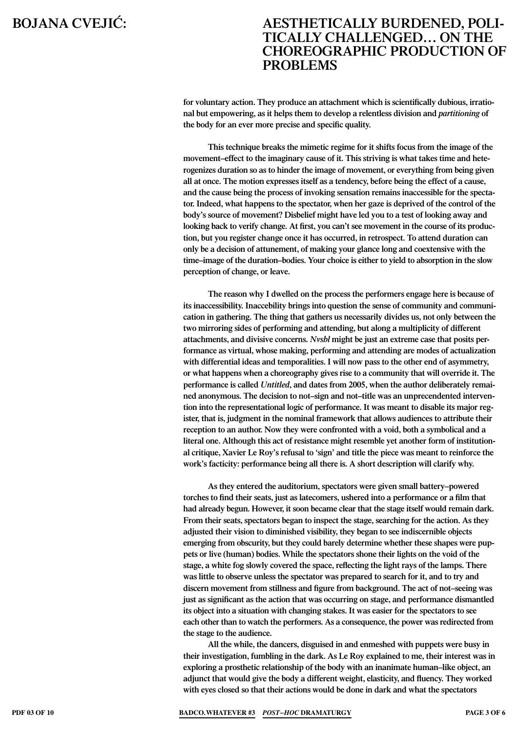**for voluntary action. They produce an attachment which is scientifically dubious, irrational but empowering, as it helps them to develop a relentless division and** *partitioning* **of the body for an ever more precise and specific quality.** 

**This technique breaks the mimetic regime for it shifts focus from the image of the**  movement–effect to the imaginary cause of it. This striving is what takes time and hete**rogenizes duration so as to hinder the image of movement, or everything from being given all at once. The motion expresses itself as a tendency, before being the effect of a cause, and the cause being the process of invoking sensation remains inaccessible for the spectator. Indeed, what happens to the spectator, when her gaze is deprived of the control of the body's source of movement? Disbelief might have led you to a test of looking away and looking back to verify change. At first, you can't see movement in the course of its production, but you register change once it has occurred, in retrospect. To attend duration can only be a decision of attunement, of making your glance long and coextensive with the**  time–image of the duration–bodies. Your choice is either to yield to absorption in the slow **perception of change, or leave.** 

**The reason why I dwelled on the process the performers engage here is because of its inaccessibility. Inaccebility brings into question the sense of community and communication in gathering. The thing that gathers us necessarily divides us, not only between the two mirroring sides of performing and attending, but along a multiplicity of different attachments, and divisive concerns.** *Nvsbl* **might be just an extreme case that posits performance as virtual, whose making, performing and attending are modes of actualization with differential ideas and temporalities. I will now pass to the other end of asymmetry, or what happens when a choreography gives rise to a community that will override it. The performance is called** *Untitled***, and dates from 2005, when the author deliberately remai**ned anonymous. The decision to not–sign and not–title was an unprecendented interven**tion into the representational logic of performance. It was meant to disable its major register, that is, judgment in the nominal framework that allows audiences to attribute their reception to an author. Now they were confronted with a void, both a symbolical and a literal one. Although this act of resistance might resemble yet another form of institutional critique, Xavier Le Roy's refusal to 'sign' and title the piece was meant to reinforce the work's facticity: performance being all there is. A short description will clarify why.** 

As they entered the auditorium, spectators were given small battery-powered **torches to find their seats, just as latecomers, ushered into a performance or a film that had already begun. However, it soon became clear that the stage itself would remain dark. From their seats, spectators began to inspect the stage, searching for the action. As they adjusted their vision to diminished visibility, they began to see indiscernible objects emerging from obscurity, but they could barely determine whether these shapes were puppets or live (human) bodies. While the spectators shone their lights on the void of the stage, a white fog slowly covered the space, reflecting the light rays of the lamps. There was little to observe unless the spectator was prepared to search for it, and to try and discern movement from stillness and figure from background. The act of not∑seeing was just as significant as the action that was occurring on stage, and performance dismantled its object into a situation with changing stakes. It was easier for the spectators to see each other than to watch the performers. As a consequence, the power was redirected from the stage to the audience.** 

**All the while, the dancers, disguised in and enmeshed with puppets were busy in their investigation, fumbling in the dark. As Le Roy explained to me, their interest was in exploring a prosthetic relationship of the body with an inanimate human∑like object, an adjunct that would give the body a different weight, elasticity, and fluency. They worked with eyes closed so that their actions would be done in dark and what the spectators** 

**PDF 03 of 10 BADco.Whatever #3** *Post−Hoc* **Dramaturgy Page 3 of 6**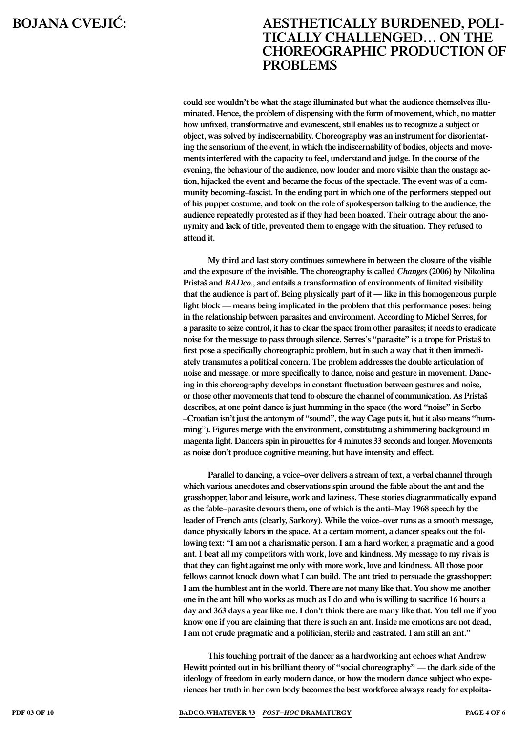**could see wouldn't be what the stage illuminated but what the audience themselves illuminated. Hence, the problem of dispensing with the form of movement, which, no matter how unfixed, transformative and evanescent, still enables us to recognize a subject or object, was solved by indiscernability. Choreography was an instrument for disorientating the sensorium of the event, in which the indiscernability of bodies, objects and movements interfered with the capacity to feel, understand and judge. In the course of the evening, the behaviour of the audience, now louder and more visible than the onstage action, hijacked the event and became the focus of the spectacle. The event was of a community becoming–fascist. In the ending part in which one of the performers stepped out of his puppet costume, and took on the role of spokesperson talking to the audience, the audience repeatedly protested as if they had been hoaxed. Their outrage about the anonymity and lack of title, prevented them to engage with the situation. They refused to attend it.**

**My third and last story continues somewhere in between the closure of the visible and the exposure of the invisible. The choreography is called** *Changes* **(2006) by Nikolina Pristaš and** *BADco.***, and entails a transformation of environments of limited visibility that the audience is part of. Being physically part of it — like in this homogeneous purple light block — means being implicated in the problem that this performance poses: being in the relationship between parasites and environment. According to Michel Serres, for a parasite to seize control, it has to clear the space from other parasites; it needs to eradicate noise for the message to pass through silence. Serres's "parasite" is a trope for Pristaš to first pose a specifically choreographic problem, but in such a way that it then immediately transmutes a political concern. The problem addresses the double articulation of noise and message, or more specifically to dance, noise and gesture in movement. Dancing in this choreography develops in constant fluctuation between gestures and noise, or those other movements that tend to obscure the channel of communication. As Pristaš describes, at one point dance is just humming in the space (the word "noise" in Serbo ∑Croatian isn't just the antonym of "sound", the way Cage puts it, but it also means "humming"). Figures merge with the environment, constituting a shimmering background in magenta light. Dancers spin in pirouettes for 4 minutes 33 seconds and longer. Movements as noise don't produce cognitive meaning, but have intensity and effect.** 

Parallel to dancing, a voice-over delivers a stream of text, a verbal channel through **which various anecdotes and observations spin around the fable about the ant and the grasshopper, labor and leisure, work and laziness. These stories diagrammatically expand**  as the fable–parasite devours them, one of which is the anti–May 1968 speech by the leader of French ants (clearly, Sarkozy). While the voice–over runs as a smooth message, **dance physically labors in the space. At a certain moment, a dancer speaks out the following text: "I am not a charismatic person. I am a hard worker, a pragmatic and a good ant. I beat all my competitors with work, love and kindness. My message to my rivals is that they can fight against me only with more work, love and kindness. All those poor fellows cannot knock down what I can build. The ant tried to persuade the grasshopper: I am the humblest ant in the world. There are not many like that. You show me another one in the ant hill who works as much as I do and who is willing to sacrifice 16 hours a day and 363 days a year like me. I don't think there are many like that. You tell me if you know one if you are claiming that there is such an ant. Inside me emotions are not dead, I am not crude pragmatic and a politician, sterile and castrated. I am still an ant."** 

**This touching portrait of the dancer as a hardworking ant echoes what Andrew Hewitt pointed out in his brilliant theory of "social choreography" — the dark side of the ideology of freedom in early modern dance, or how the modern dance subject who experiences her truth in her own body becomes the best workforce always ready for exploita-**

**PDF 03 of 10 BADco.Whatever #3** *Post−Hoc* **Dramaturgy Page 4 of 6**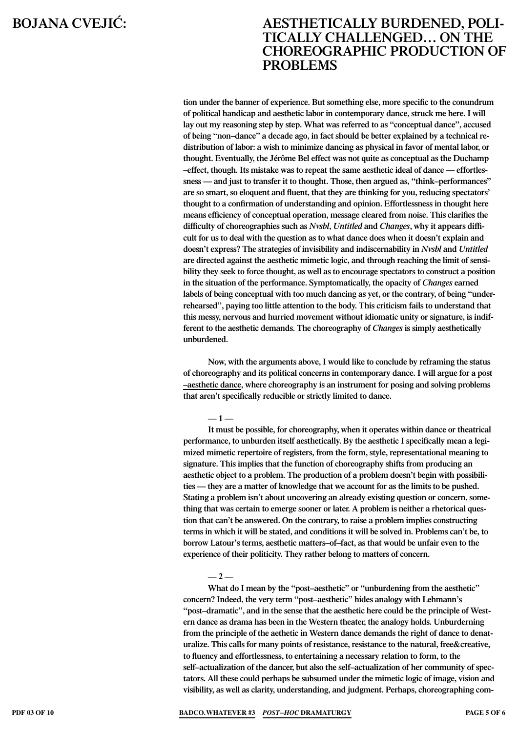**tion under the banner of experience. But something else, more specific to the conundrum of political handicap and aesthetic labor in contemporary dance, struck me here. I will lay out my reasoning step by step. What was referred to as "conceptual dance", accused**  of being "non-dance" a decade ago, in fact should be better explained by a technical re**distribution of labor: a wish to minimize dancing as physical in favor of mental labor, or thought. Eventually, the Jérôme Bel effect was not quite as conceptual as the Duchamp ∑effect, though. Its mistake was to repeat the same aesthetic ideal of dance — effortles**sness — and just to transfer it to thought. Those, then argued as, "think-performances" **are so smart, so eloquent and fluent, that they are thinking for you, reducing spectators' thought to a confirmation of understanding and opinion. Effortlessness in thought here means efficiency of conceptual operation, message cleared from noise. This clarifies the difficulty of choreographies such as** *Nvsbl***,** *Untitled* **and** *Changes***, why it appears difficult for us to deal with the question as to what dance does when it doesn't explain and doesn't express? The strategies of invisibility and indiscernability in** *Nvsbl* **and** *Untitled* **are directed against the aesthetic mimetic logic, and through reaching the limit of sensibility they seek to force thought, as well as to encourage spectators to construct a position in the situation of the performance. Symptomatically, the opacity of** *Changes* **earned labels of being conceptual with too much dancing as yet, or the contrary, of being "underrehearsed", paying too little attention to the body. This criticism fails to understand that this messy, nervous and hurried movement without idiomatic unity or signature, is indifferent to the aesthetic demands. The choreography of** *Changes* **is simply aesthetically unburdened.**

**Now, with the arguments above, I would like to conclude by reframing the status of choreography and its political concerns in contemporary dance. I will argue for a post ∑aesthetic dance, where choreography is an instrument for posing and solving problems that aren't specifically reducible or strictly limited to dance.** 

**— 1 —**

**It must be possible, for choreography, when it operates within dance or theatrical performance, to unburden itself aesthetically. By the aesthetic I specifically mean a legimized mimetic repertoire of registers, from the form, style, representational meaning to signature. This implies that the function of choreography shifts from producing an aesthetic object to a problem. The production of a problem doesn't begin with possibilities — they are a matter of knowledge that we account for as the limits to be pushed. Stating a problem isn't about uncovering an already existing question or concern, something that was certain to emerge sooner or later. A problem is neither a rhetorical question that can't be answered. On the contrary, to raise a problem implies constructing terms in which it will be stated, and conditions it will be solved in. Problems can't be, to**  borrow Latour's terms, aesthetic matters–of–fact, as that would be unfair even to the **experience of their politicity. They rather belong to matters of concern.** 

### **— 2 —**

What do I mean by the "post-aesthetic" or "unburdening from the aesthetic" concern? Indeed, the very term "post-aesthetic" hides analogy with Lehmann's **"post∑dramatic", and in the sense that the aesthetic here could be the principle of Western dance as drama has been in the Western theater, the analogy holds. Unburderning from the principle of the aethetic in Western dance demands the right of dance to denaturalize. This calls for many points of resistance, resistance to the natural, free&creative, to fluency and effortlessness, to entertaining a necessary relation to form, to the**  self–actualization of the dancer, but also the self–actualization of her community of spec**tators. All these could perhaps be subsumed under the mimetic logic of image, vision and visibility, as well as clarity, understanding, and judgment. Perhaps, choreographing com-**